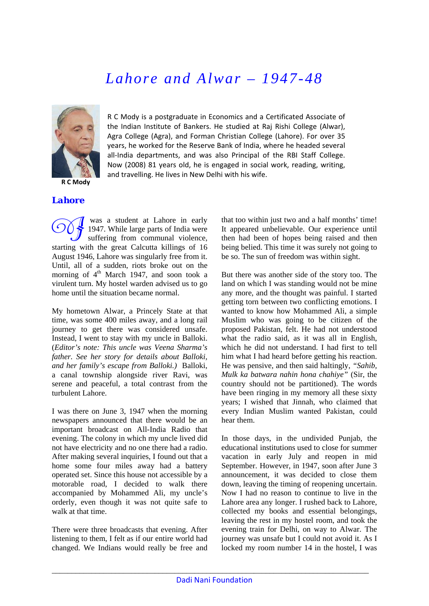## *Lahore and Alwar – 1947-48*



**R C Mody**

R C Mody is a postgraduate in Economics and a Certificated Associate of the Indian Institute of Bankers. He studied at Raj Rishi College (Alwar), Agra College (Agra), and Forman Christian College (Lahore). For over 35 years, he worked for the Reserve Bank of India, where he headed several all-India departments, and was also Principal of the RBI Staff College. Now (2008) 81 years old, he is engaged in social work, reading, writing, and travelling. He lives in New Delhi with his wife.

## *Lahore*

 was a student at Lahore in early 1947. While large parts of India were suffering from communal violence, starting with the great Calcutta killings of 16 August 1946, Lahore was singularly free from it. Until, all of a sudden, riots broke out on the morning of  $4<sup>th</sup>$  March 1947, and soon took a virulent turn. My hostel warden advised us to go home until the situation became normal. OOJ

My hometown Alwar, a Princely State at that time, was some 400 miles away, and a long rail journey to get there was considered unsafe. Instead, I went to stay with my uncle in Balloki. (*Editor's note: This uncle was Veena Sharma's father. See her story for details about Balloki, and her family's escape from Balloki.)* Balloki, a canal township alongside river Ravi, was serene and peaceful, a total contrast from the turbulent Lahore.

I was there on June 3, 1947 when the morning newspapers announced that there would be an important broadcast on All-India Radio that evening. The colony in which my uncle lived did not have electricity and no one there had a radio. After making several inquiries, I found out that a home some four miles away had a battery operated set. Since this house not accessible by a motorable road, I decided to walk there accompanied by Mohammed Ali, my uncle's orderly, even though it was not quite safe to walk at that time.

There were three broadcasts that evening. After listening to them, I felt as if our entire world had changed. We Indians would really be free and that too within just two and a half months' time! It appeared unbelievable. Our experience until then had been of hopes being raised and then being belied. This time it was surely not going to be so. The sun of freedom was within sight.

But there was another side of the story too. The land on which I was standing would not be mine any more, and the thought was painful. I started getting torn between two conflicting emotions. I wanted to know how Mohammed Ali, a simple Muslim who was going to be citizen of the proposed Pakistan, felt. He had not understood what the radio said, as it was all in English, which he did not understand. I had first to tell him what I had heard before getting his reaction. He was pensive, and then said haltingly, *"Sahib, Mulk ka batwara nahin hona chahiye"* (Sir, the country should not be partitioned). The words have been ringing in my memory all these sixty years; I wished that Jinnah, who claimed that every Indian Muslim wanted Pakistan, could hear them.

In those days, in the undivided Punjab, the educational institutions used to close for summer vacation in early July and reopen in mid September. However, in 1947, soon after June 3 announcement, it was decided to close them down, leaving the timing of reopening uncertain. Now I had no reason to continue to live in the Lahore area any longer. I rushed back to Lahore, collected my books and essential belongings, leaving the rest in my hostel room, and took the evening train for Delhi, on way to Alwar. The journey was unsafe but I could not avoid it. As I locked my room number 14 in the hostel, I was

\_\_\_\_\_\_\_\_\_\_\_\_\_\_\_\_\_\_\_\_\_\_\_\_\_\_\_\_\_\_\_\_\_\_\_\_\_\_\_\_\_\_\_\_\_\_\_\_\_\_\_\_\_\_\_\_\_\_\_\_\_\_\_\_\_\_\_\_\_\_\_\_\_\_\_\_\_\_\_\_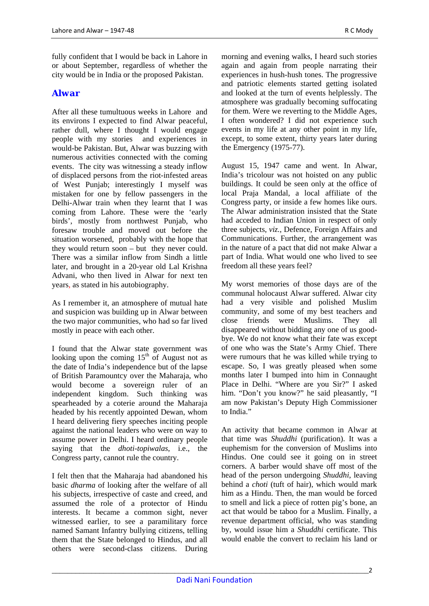fully confident that I would be back in Lahore in or about September, regardless of whether the city would be in India or the proposed Pakistan.

## *Alwar*

After all these tumultuous weeks in Lahore and its environs I expected to find Alwar peaceful, rather dull, where I thought I would engage people with my stories and experiences in would-be Pakistan. But, Alwar was buzzing with numerous activities connected with the coming events. The city was witnessing a steady inflow of displaced persons from the riot-infested areas of West Punjab; interestingly I myself was mistaken for one by fellow passengers in the Delhi-Alwar train when they learnt that I was coming from Lahore. These were the 'early birds', mostly from northwest Punjab, who foresaw trouble and moved out before the situation worsened, probably with the hope that they would return soon – but they never could. There was a similar inflow from Sindh a little later, and brought in a 20-year old Lal Krishna Advani, who then lived in Alwar for next ten years, as stated in his autobiography.

As I remember it, an atmosphere of mutual hate and suspicion was building up in Alwar between the two major communities, who had so far lived mostly in peace with each other.

I found that the Alwar state government was looking upon the coming  $15<sup>th</sup>$  of August not as the date of India's independence but of the lapse of British Paramountcy over the Maharaja, who would become a sovereign ruler of an independent kingdom. Such thinking was spearheaded by a coterie around the Maharaja headed by his recently appointed Dewan, whom I heard delivering fiery speeches inciting people against the national leaders who were on way to assume power in Delhi. I heard ordinary people saying that the *dhoti-topiwalas*, i.e., the Congress party, cannot rule the country.

I felt then that the Maharaja had abandoned his basic *dharma* of looking after the welfare of all his subjects, irrespective of caste and creed, and assumed the role of a protector of Hindu interests. It became a common sight, never witnessed earlier, to see a paramilitary force named Samant Infantry bullying citizens, telling them that the State belonged to Hindus, and all others were second-class citizens. During

morning and evening walks, I heard such stories again and again from people narrating their experiences in hush-hush tones. The progressive and patriotic elements started getting isolated and looked at the turn of events helplessly. The atmosphere was gradually becoming suffocating for them. Were we reverting to the Middle Ages, I often wondered? I did not experience such events in my life at any other point in my life, except, to some extent, thirty years later during the Emergency (1975-77).

August 15, 1947 came and went. In Alwar, India's tricolour was not hoisted on any public buildings. It could be seen only at the office of local Praja Mandal, a local affiliate of the Congress party, or inside a few homes like ours. The Alwar administration insisted that the State had acceded to Indian Union in respect of only three subjects, *viz.*, Defence, Foreign Affairs and Communications. Further, the arrangement was in the nature of a pact that did not make Alwar a part of India. What would one who lived to see freedom all these years feel?

My worst memories of those days are of the communal holocaust Alwar suffered. Alwar city had a very visible and polished Muslim community, and some of my best teachers and close friends were Muslims. They all disappeared without bidding any one of us goodbye. We do not know what their fate was except of one who was the State's Army Chief. There were rumours that he was killed while trying to escape. So, I was greatly pleased when some months later I bumped into him in Connaught Place in Delhi. "Where are you Sir?" I asked him. "Don't you know?" he said pleasantly, "I am now Pakistan's Deputy High Commissioner to India."

An activity that became common in Alwar at that time was *Shuddhi* (purification). It was a euphemism for the conversion of Muslims into Hindus. One could see it going on in street corners. A barber would shave off most of the head of the person undergoing *Shuddhi*, leaving behind a *choti* (tuft of hair), which would mark him as a Hindu. Then, the man would be forced to smell and lick a piece of rotten pig's bone, an act that would be taboo for a Muslim. Finally, a revenue department official, who was standing by, would issue him a *Shuddhi* certificate. This would enable the convert to reclaim his land or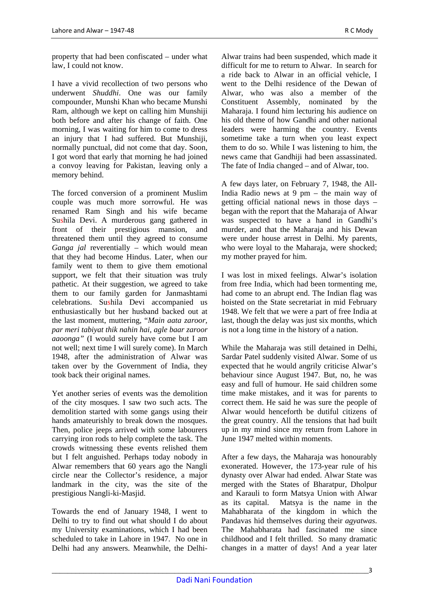property that had been confiscated – under what law, I could not know.

I have a vivid recollection of two persons who underwent *Shuddhi*. One was our family compounder, Munshi Khan who became Munshi Ram, although we kept on calling him Munshiji both before and after his change of faith. One morning, I was waiting for him to come to dress an injury that I had suffered. But Munshiji, normally punctual, did not come that day. Soon, I got word that early that morning he had joined a convoy leaving for Pakistan, leaving only a memory behind.

The forced conversion of a prominent Muslim couple was much more sorrowful. He was renamed Ram Singh and his wife became Sushila Devi. A murderous gang gathered in front of their prestigious mansion, and threatened them until they agreed to consume *Ganga jal* reverentially – which would mean that they had become Hindus. Later, when our family went to them to give them emotional support, we felt that their situation was truly pathetic. At their suggestion, we agreed to take them to our family garden for Janmashtami celebrations. Sushila Devi accompanied us enthusiastically but her husband backed out at the last moment, muttering, "*Main aata zaroor, par meri tabiyat thik nahin hai, agle baar zaroor aaoonga"* (I would surely have come but I am not well; next time I will surely come). In March 1948, after the administration of Alwar was taken over by the Government of India, they took back their original names.

Yet another series of events was the demolition of the city mosques. I saw two such acts. The demolition started with some gangs using their hands amateurishly to break down the mosques. Then, police jeeps arrived with some labourers carrying iron rods to help complete the task. The crowds witnessing these events relished them but I felt anguished. Perhaps today nobody in Alwar remembers that 60 years ago the Nangli circle near the Collector's residence, a major landmark in the city, was the site of the prestigious Nangli-ki-Masjid.

Towards the end of January 1948, I went to Delhi to try to find out what should I do about my University examinations, which I had been scheduled to take in Lahore in 1947. No one in Delhi had any answers. Meanwhile, the DelhiAlwar trains had been suspended, which made it difficult for me to return to Alwar. In search for a ride back to Alwar in an official vehicle, I went to the Delhi residence of the Dewan of Alwar, who was also a member of the Constituent Assembly, nominated by the Maharaja. I found him lecturing his audience on his old theme of how Gandhi and other national leaders were harming the country. Events sometime take a turn when you least expect them to do so. While I was listening to him, the news came that Gandhiji had been assassinated. The fate of India changed – and of Alwar, too.

A few days later, on February 7, 1948, the All-India Radio news at 9 pm – the main way of getting official national news in those days – began with the report that the Maharaja of Alwar was suspected to have a hand in Gandhi's murder, and that the Maharaja and his Dewan were under house arrest in Delhi. My parents, who were loyal to the Maharaja, were shocked; my mother prayed for him.

I was lost in mixed feelings. Alwar's isolation from free India, which had been tormenting me, had come to an abrupt end. The Indian flag was hoisted on the State secretariat in mid February 1948. We felt that we were a part of free India at last, though the delay was just six months, which is not a long time in the history of a nation.

While the Maharaja was still detained in Delhi, Sardar Patel suddenly visited Alwar. Some of us expected that he would angrily criticise Alwar's behaviour since August 1947. But, no, he was easy and full of humour. He said children some time make mistakes, and it was for parents to correct them. He said he was sure the people of Alwar would henceforth be dutiful citizens of the great country. All the tensions that had built up in my mind since my return from Lahore in June 1947 melted within moments.

After a few days, the Maharaja was honourably exonerated. However, the 173-year rule of his dynasty over Alwar had ended. Alwar State was merged with the States of Bharatpur, Dholpur and Karauli to form Matsya Union with Alwar as its capital. Matsya is the name in the Mahabharata of the kingdom in which the Pandavas hid themselves during their *agyatwas*. The Mahabharata had fascinated me since childhood and I felt thrilled. So many dramatic changes in a matter of days! And a year later